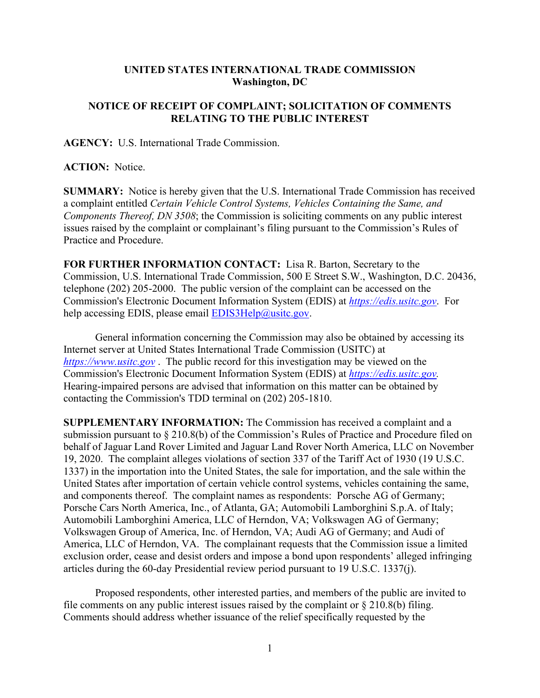## **UNITED STATES INTERNATIONAL TRADE COMMISSION Washington, DC**

## **NOTICE OF RECEIPT OF COMPLAINT; SOLICITATION OF COMMENTS RELATING TO THE PUBLIC INTEREST**

**AGENCY:** U.S. International Trade Commission.

**ACTION:** Notice.

**SUMMARY:** Notice is hereby given that the U.S. International Trade Commission has received a complaint entitled *Certain Vehicle Control Systems, Vehicles Containing the Same, and Components Thereof, DN 3508*; the Commission is soliciting comments on any public interest issues raised by the complaint or complainant's filing pursuant to the Commission's Rules of Practice and Procedure.

**FOR FURTHER INFORMATION CONTACT:** Lisa R. Barton, Secretary to the Commission, U.S. International Trade Commission, 500 E Street S.W., Washington, D.C. 20436, telephone (202) 205-2000. The public version of the complaint can be accessed on the Commission's Electronic Document Information System (EDIS) at *[https://edis.usitc.gov](https://edis.usitc.gov/)*. For help accessing EDIS, please email  $EDIS3Help@usite.gov$ .

General information concerning the Commission may also be obtained by accessing its Internet server at United States International Trade Commission (USITC) at *[https://www.usitc.gov](https://www.usitc.gov/)* . The public record for this investigation may be viewed on the Commission's Electronic Document Information System (EDIS) at *[https://edis.usitc.gov.](https://edis.usitc.gov/)* Hearing-impaired persons are advised that information on this matter can be obtained by contacting the Commission's TDD terminal on (202) 205-1810.

**SUPPLEMENTARY INFORMATION:** The Commission has received a complaint and a submission pursuant to § 210.8(b) of the Commission's Rules of Practice and Procedure filed on behalf of Jaguar Land Rover Limited and Jaguar Land Rover North America, LLC on November 19, 2020. The complaint alleges violations of section 337 of the Tariff Act of 1930 (19 U.S.C. 1337) in the importation into the United States, the sale for importation, and the sale within the United States after importation of certain vehicle control systems, vehicles containing the same, and components thereof. The complaint names as respondents: Porsche AG of Germany; Porsche Cars North America, Inc., of Atlanta, GA; Automobili Lamborghini S.p.A. of Italy; Automobili Lamborghini America, LLC of Herndon, VA; Volkswagen AG of Germany; Volkswagen Group of America, Inc. of Herndon, VA; Audi AG of Germany; and Audi of America, LLC of Herndon, VA. The complainant requests that the Commission issue a limited exclusion order, cease and desist orders and impose a bond upon respondents' alleged infringing articles during the 60-day Presidential review period pursuant to 19 U.S.C. 1337(j).

Proposed respondents, other interested parties, and members of the public are invited to file comments on any public interest issues raised by the complaint or  $\S 210.8(b)$  filing. Comments should address whether issuance of the relief specifically requested by the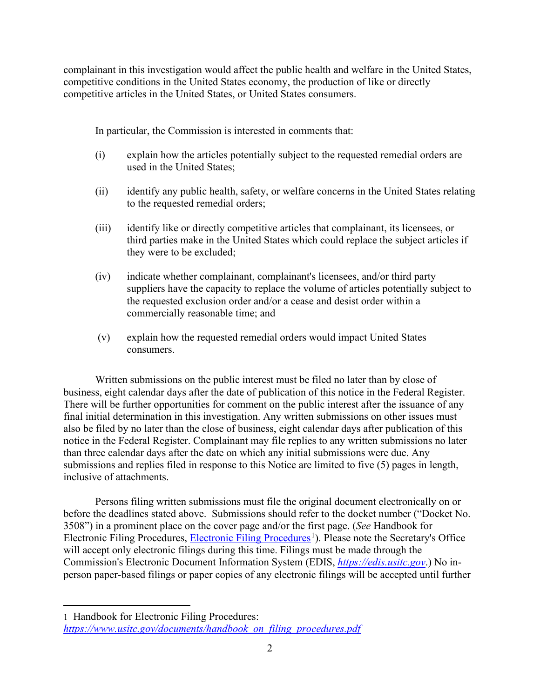complainant in this investigation would affect the public health and welfare in the United States, competitive conditions in the United States economy, the production of like or directly competitive articles in the United States, or United States consumers.

In particular, the Commission is interested in comments that:

- (i) explain how the articles potentially subject to the requested remedial orders are used in the United States;
- (ii) identify any public health, safety, or welfare concerns in the United States relating to the requested remedial orders;
- (iii) identify like or directly competitive articles that complainant, its licensees, or third parties make in the United States which could replace the subject articles if they were to be excluded;
- (iv) indicate whether complainant, complainant's licensees, and/or third party suppliers have the capacity to replace the volume of articles potentially subject to the requested exclusion order and/or a cease and desist order within a commercially reasonable time; and
- (v) explain how the requested remedial orders would impact United States consumers.

Written submissions on the public interest must be filed no later than by close of business, eight calendar days after the date of publication of this notice in the Federal Register. There will be further opportunities for comment on the public interest after the issuance of any final initial determination in this investigation. Any written submissions on other issues must also be filed by no later than the close of business, eight calendar days after publication of this notice in the Federal Register. Complainant may file replies to any written submissions no later than three calendar days after the date on which any initial submissions were due. Any submissions and replies filed in response to this Notice are limited to five (5) pages in length, inclusive of attachments.

Persons filing written submissions must file the original document electronically on or before the deadlines stated above. Submissions should refer to the docket number ("Docket No. 3508") in a prominent place on the cover page and/or the first page. (*See* Handbook for Electronic Filing Procedures, [Electronic Filing Procedures](https://www.usitc.gov/documents/handbook_on_filing_procedures.pdf)<sup>[1](#page-1-0)</sup>). Please note the Secretary's Office will accept only electronic filings during this time. Filings must be made through the Commission's Electronic Document Information System (EDIS, *[https://edis.usitc.gov](https://edis.usitc.gov/)*.) No inperson paper-based filings or paper copies of any electronic filings will be accepted until further

<span id="page-1-0"></span><sup>1</sup> Handbook for Electronic Filing Procedures: *[https://www.usitc.gov/documents/handbook\\_on\\_filing\\_procedures.pdf](https://www.usitc.gov/documents/handbook_on_filing_procedures.pdf)*